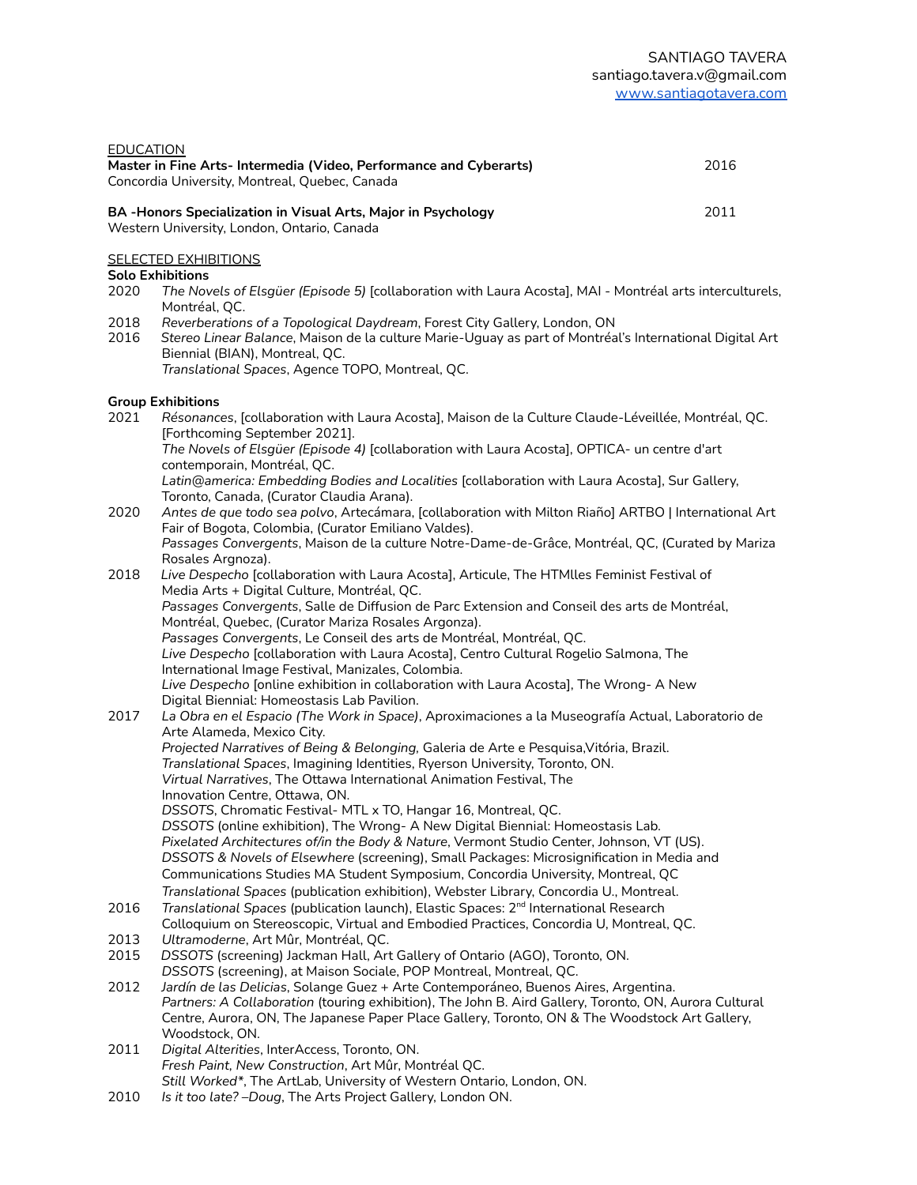| ---------<br>Master in Fine Arts-Intermedia (Video, Performance and Cyberarts)<br>Concordia University, Montreal, Quebec, Canada | 2016 |
|----------------------------------------------------------------------------------------------------------------------------------|------|
| <b>BA-Honors Specialization in Visual Arts, Major in Psychology</b><br>Western University, London, Ontario, Canada               | 2011 |

### **SELECTED EXHIBITIONS**

#### **Solo Exhibitions**

EDUCATION

- 2020 *The Novels of Elsgüer (Episode 5)* [collaboration with Laura Acosta], MAI Montréal arts interculturels, Montréal, QC.
- 2018 *Reverberations of a Topological Daydream*, Forest City Gallery, London, ON
- 2016 *Stereo Linear Balance*, Maison de la culture Marie-Uguay as part of Montréal's International Digital Art Biennial (BIAN), Montreal, QC. *Translational Spaces*, Agence TOPO, Montreal, QC.

### **Group Exhibitions**

- 2021 *Résonances*, [collaboration with Laura Acosta], Maison de la Culture Claude-Léveillée, Montréal, QC. [Forthcoming September 2021]. *The Novels of Elsgüer (Episode 4)* [collaboration with Laura Acosta], OPTICA- un centre d'art contemporain, Montréal, QC. *Latin@america: Embedding Bodies and Localities* [collaboration with Laura Acosta], Sur Gallery, Toronto, Canada, (Curator Claudia Arana). 2020 *Antes de que todo sea polvo*, Artecámara, [collaboration with Milton Riaño] ARTBO | International Art Fair of Bogota, Colombia, (Curator Emiliano Valdes). *Passages Convergents*, Maison de la culture Notre-Dame-de-Grâce, Montréal, QC, (Curated by Mariza Rosales Argnoza). 2018 *Live Despecho* [collaboration with Laura Acosta], Articule, The HTMlles Feminist Festival of Media Arts + Digital Culture, Montréal, QC. *Passages Convergents*, Salle de Diffusion de Parc Extension and Conseil des arts de Montréal, Montréal, Quebec, (Curator Mariza Rosales Argonza). *Passages Convergents*, Le Conseil des arts de Montréal, Montréal, QC. *Live Despecho* [collaboration with Laura Acosta], Centro Cultural Rogelio Salmona, The International Image Festival, Manizales, Colombia. *Live Despecho* [online exhibition in collaboration with Laura Acosta], The Wrong- A New Digital Biennial: Homeostasis Lab Pavilion. 2017 *La Obra en el Espacio (The Work in Space)*, Aproximaciones a la Museografía Actual, Laboratorio de Arte Alameda, Mexico City. *Projected Narratives of Being & Belonging,* Galeria de Arte e Pesquisa,Vitória, Brazil. *Translational Spaces*, Imagining Identities, Ryerson University, Toronto, ON. *Virtual Narratives*, The Ottawa International Animation Festival, The Innovation Centre, Ottawa, ON. *DSSOTS*, Chromatic Festival- MTL x TO, Hangar 16, Montreal, QC. *DSSOTS* (online exhibition), The Wrong- A New Digital Biennial: Homeostasis Lab. *Pixelated Architectures of/in the Body & Nature*, Vermont Studio Center, Johnson, VT (US). *DSSOTS & Novels of Elsewhere* (screening), Small Packages: Microsignification in Media and Communications Studies MA Student Symposium, Concordia University, Montreal, QC *Translational Spaces* (publication exhibition), Webster Library, Concordia U., Montreal. 2016 *Translational Spaces* (publication launch), Elastic Spaces: 2 nd International Research Colloquium on Stereoscopic, Virtual and Embodied Practices, Concordia U, Montreal, QC. 2013 *Ultramoderne*, Art Mûr, Montréal, QC. 2015 *DSSOTS* (screening) Jackman Hall, Art Gallery of Ontario (AGO), Toronto, ON. *DSSOTS* (screening), at Maison Sociale, POP Montreal, Montreal, QC. 2012 *Jardín de las Delicias*, Solange Guez + Arte Contemporáneo, Buenos Aires, Argentina. *Partners: A Collaboration* (touring exhibition), The John B. Aird Gallery, Toronto, ON, Aurora Cultural Centre, Aurora, ON, The Japanese Paper Place Gallery, Toronto, ON & The Woodstock Art Gallery, Woodstock, ON. 2011 *Digital Alterities*, InterAccess, Toronto, ON. *Fresh Paint, New Construction*, Art Mûr, Montréal QC. *Still Worked\**, The ArtLab, University of Western Ontario, London, ON.
- 2010 *Is it too late? –Doug*, The Arts Project Gallery, London ON.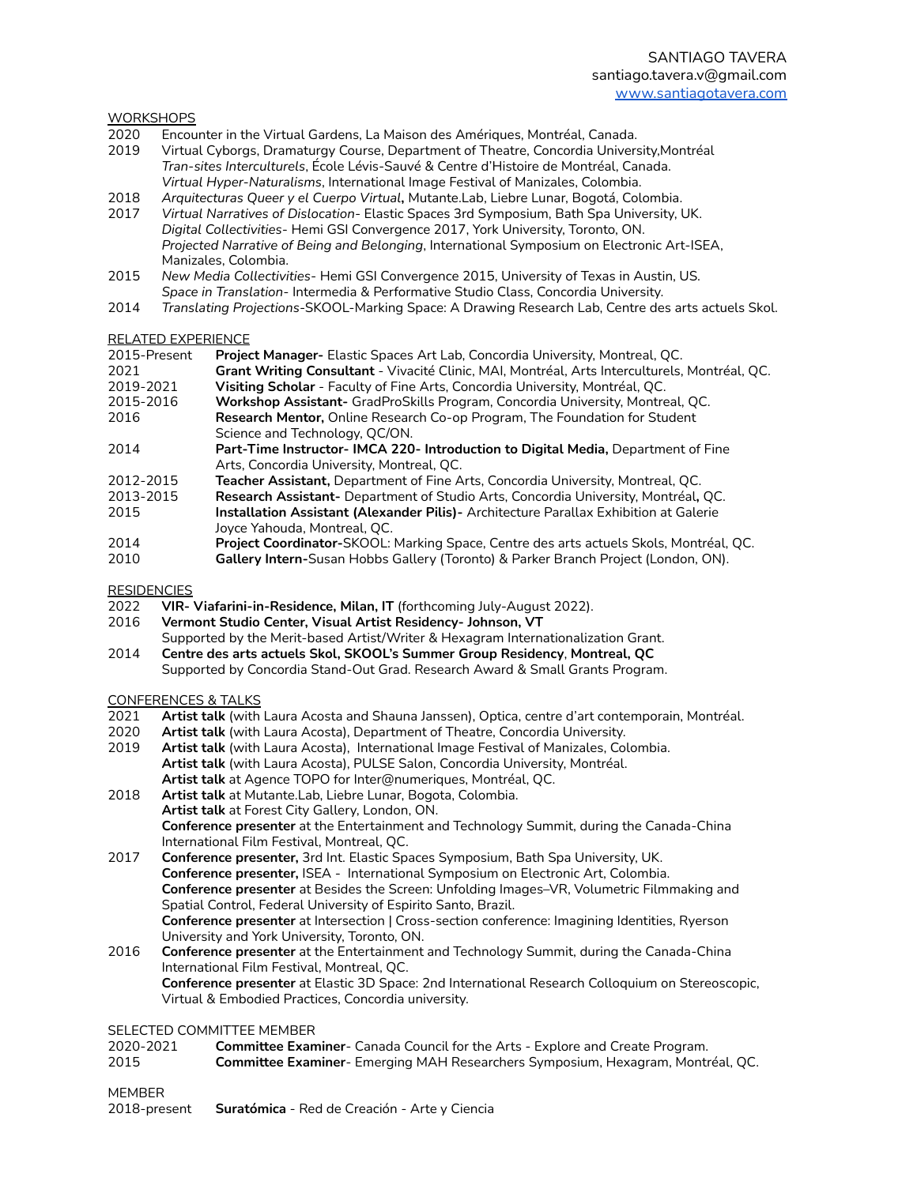### **WORKSHOPS**

- 2020 Encounter in the Virtual Gardens, La Maison des Amériques, Montréal, Canada.
- 2019 Virtual Cyborgs, Dramaturgy Course, Department of Theatre, Concordia University,Montréal *Tran-sites Interculturels*, École Lévis-Sauvé & Centre d'Histoire de Montréal, Canada. *Virtual Hyper-Naturalisms*, International Image Festival of Manizales, Colombia.
- 2018 *Arquitecturas Queer y el Cuerpo Virtual***,** Mutante.Lab, Liebre Lunar, Bogotá, Colombia.
- 2017 *Virtual Narratives of Dislocation* Elastic Spaces 3rd Symposium, Bath Spa University, UK. *Digital Collectivities*- Hemi GSI Convergence 2017, York University, Toronto, ON. *Projected Narrative of Being and Belonging*, International Symposium on Electronic Art-ISEA, Manizales, Colombia.
- 2015 *New Media Collectivities* Hemi GSI Convergence 2015, University of Texas in Austin, US. *Space in Translation*- Intermedia & Performative Studio Class, Concordia University.
- 2014 *Translating Projections*-SKOOL-Marking Space: A Drawing Research Lab, Centre des arts actuels Skol.

## RELATED EXPERIENCE

| י זכון בט כי זכות היסט |                                                                                               |
|------------------------|-----------------------------------------------------------------------------------------------|
| 2015-Present           | <b>Project Manager-</b> Elastic Spaces Art Lab, Concordia University, Montreal, QC.           |
| 2021                   | Grant Writing Consultant - Vivacité Clinic, MAI, Montréal, Arts Interculturels, Montréal, QC. |
| 2019-2021              | Visiting Scholar - Faculty of Fine Arts, Concordia University, Montréal, QC.                  |
| 2015-2016              | <b>Workshop Assistant-</b> GradProSkills Program, Concordia University, Montreal, QC.         |
| 2016                   | <b>Research Mentor, Online Research Co-op Program, The Foundation for Student</b>             |
|                        | Science and Technology, QC/ON.                                                                |
| 2014                   | Part-Time Instructor-IMCA 220-Introduction to Digital Media, Department of Fine               |
|                        | Arts, Concordia University, Montreal, QC.                                                     |
| 2012-2015              | Teacher Assistant, Department of Fine Arts, Concordia University, Montreal, QC.               |
|                        |                                                                                               |

- 2013-2015 **Research Assistant-** Department of Studio Arts, Concordia University, Montréal**,** QC. 2015 **Installation Assistant (Alexander Pilis)-** Architecture Parallax Exhibition at Galerie Joyce Yahouda, Montreal, QC.
- 2014 **Project Coordinator-**SKOOL: Marking Space, Centre des arts actuels Skols, Montréal, QC.
- 2010 **Gallery Intern-**Susan Hobbs Gallery (Toronto) & Parker Branch Project (London, ON).

# **RESIDENCIES**

- 2022 **VIR- Viafarini-in-Residence, Milan, IT** (forthcoming July-August 2022).
- 2016 **Vermont Studio Center, Visual Artist Residency- Johnson, VT**
- Supported by the Merit-based Artist/Writer & Hexagram Internationalization Grant.
- 2014 **Centre des arts actuels Skol, SKOOL's Summer Group Residency**, **Montreal, QC** Supported by Concordia Stand-Out Grad. Research Award & Small Grants Program.

#### CONFERENCES & TALKS

- 2021 **Artist talk** (with Laura Acosta and Shauna Janssen), Optica, centre d'art contemporain, Montréal.
- 2020 **Artist talk** (with Laura Acosta), Department of Theatre, Concordia University.
- Artist talk (with Laura Acosta), International Image Festival of Manizales, Colombia. **Artist talk** (with Laura Acosta), PULSE Salon, Concordia University, Montréal. **Artist talk** at Agence TOPO for Inter@numeriques, Montréal, QC.
- 2018 **Artist talk** at Mutante.Lab, Liebre Lunar, Bogota, Colombia. **Artist talk** at Forest City Gallery, London, ON. **Conference presenter** at the Entertainment and Technology Summit, during the Canada-China International Film Festival, Montreal, QC.
- 2017 **Conference presenter,** 3rd Int. Elastic Spaces Symposium, Bath Spa University, UK. **Conference presenter,** ISEA - International Symposium on Electronic Art, Colombia. **Conference presenter** at Besides the Screen: Unfolding Images–VR, Volumetric Filmmaking and Spatial Control, Federal University of Espirito Santo, Brazil. **Conference presenter** at Intersection | Cross-section conference: Imagining Identities, Ryerson University and York University, Toronto, ON.
- 2016 **Conference presenter** at the Entertainment and Technology Summit, during the Canada-China International Film Festival, Montreal, QC. **Conference presenter** at Elastic 3D Space: 2nd International Research Colloquium on Stereoscopic, Virtual & Embodied Practices, Concordia university.

#### SELECTED COMMITTEE MEMBER

2020-2021 **Committee Examiner**- Canada Council for the Arts - Explore and Create Program. 2015 **Committee Examiner**- Emerging MAH Researchers Symposium, Hexagram, Montréal, QC.

## MEMBER

2018-present **Suratómica** - Red de Creación - Arte y Ciencia